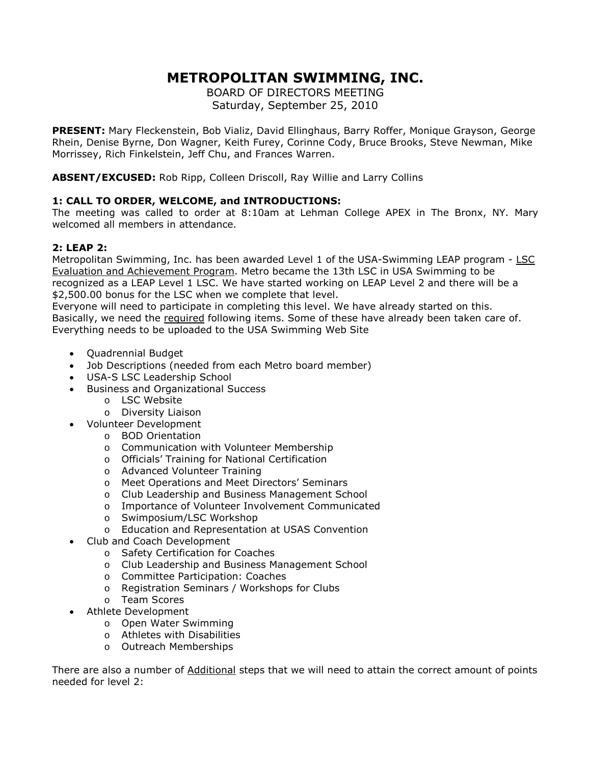# **METROPOLITAN SWIMMING, INC.**

BOARD OF DIRECTORS MEETING Saturday, September 25, 2010

**PRESENT:** Mary Fleckenstein, Bob Vializ, David Ellinghaus, Barry Roffer, Monique Grayson, George Rhein, Denise Byrne, Don Wagner, Keith Furey, Corinne Cody, Bruce Brooks, Steve Newman, Mike Morrissey, Rich Finkelstein, Jeff Chu, and Frances Warren.

**ABSENT/EXCUSED:** Rob Ripp, Colleen Driscoll, Ray Willie and Larry Collins

## **1: CALL TO ORDER, WELCOME, and INTRODUCTIONS:**

The meeting was called to order at 8:10am at Lehman College APEX in The Bronx, NY. Mary welcomed all members in attendance.

### **2: LEAP 2:**

Metropolitan Swimming, Inc. has been awarded Level 1 of the USA-Swimming LEAP program - LSC Evaluation and Achievement Program. Metro became the 13th LSC in USA Swimming to be recognized as a LEAP Level 1 LSC. We have started working on LEAP Level 2 and there will be a \$2,500.00 bonus for the LSC when we complete that level.

Everyone will need to participate in completing this level. We have already started on this. Basically, we need the required following items. Some of these have already been taken care of. Everything needs to be uploaded to the USA Swimming Web Site

- Quadrennial Budget
- Job Descriptions (needed from each Metro board member)
- USA-S LSC Leadership School
- Business and Organizational Success
	- o LSC Website
	- o Diversity Liaison
- Volunteer Development
	- o BOD Orientation
	- o Communication with Volunteer Membership
	- o Officials' Training for National Certification
	- o Advanced Volunteer Training
	- o Meet Operations and Meet Directors' Seminars
	- o Club Leadership and Business Management School
	- o Importance of Volunteer Involvement Communicated
	- o Swimposium/LSC Workshop
	- o Education and Representation at USAS Convention
- Club and Coach Development
	- o Safety Certification for Coaches
	- o Club Leadership and Business Management School
	- o Committee Participation: Coaches
	- o Registration Seminars / Workshops for Clubs
	- o Team Scores
- Athlete Development
	- o Open Water Swimming
	- o Athletes with Disabilities
	- o Outreach Memberships

There are also a number of Additional steps that we will need to attain the correct amount of points needed for level 2: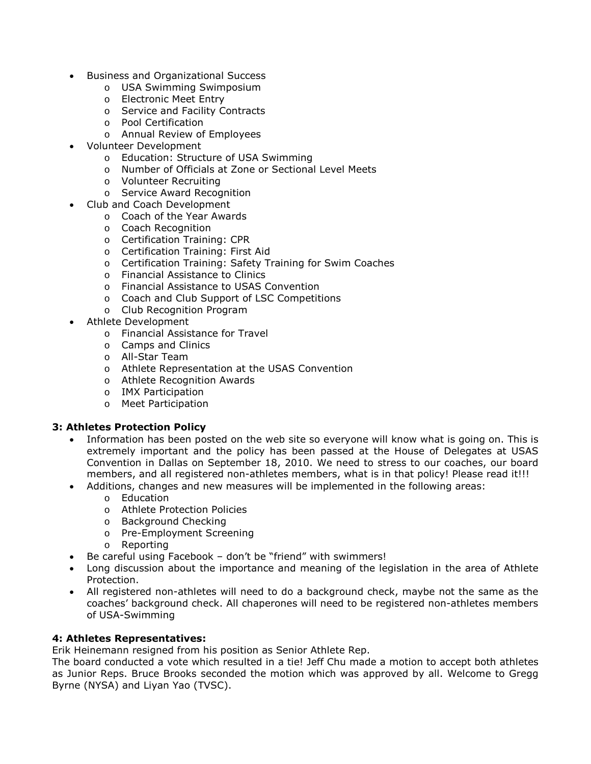- Business and Organizational Success
	- o USA Swimming Swimposium
	- o Electronic Meet Entry
	- o Service and Facility Contracts
	- o Pool Certification
	- o Annual Review of Employees
- Volunteer Development
	- o Education: Structure of USA Swimming
	- o Number of Officials at Zone or Sectional Level Meets
	- o Volunteer Recruiting
	- o Service Award Recognition
- Club and Coach Development
	- o Coach of the Year Awards
	- o Coach Recognition
	- o Certification Training: CPR
	- o Certification Training: First Aid
	- o Certification Training: Safety Training for Swim Coaches
	- o Financial Assistance to Clinics
	- o Financial Assistance to USAS Convention
	- o Coach and Club Support of LSC Competitions
	- o Club Recognition Program
- Athlete Development
	- o Financial Assistance for Travel
	- o Camps and Clinics
	- o All-Star Team
	- o Athlete Representation at the USAS Convention
	- o Athlete Recognition Awards
	- o IMX Participation
	- o Meet Participation

#### **3: Athletes Protection Policy**

- Information has been posted on the web site so everyone will know what is going on. This is extremely important and the policy has been passed at the House of Delegates at USAS Convention in Dallas on September 18, 2010. We need to stress to our coaches, our board members, and all registered non-athletes members, what is in that policy! Please read it!!!
- Additions, changes and new measures will be implemented in the following areas:
	- o Education
	- o Athlete Protection Policies
	- o Background Checking
	- o Pre-Employment Screening
	- o Reporting
- Be careful using Facebook don't be "friend" with swimmers!
- Long discussion about the importance and meaning of the legislation in the area of Athlete Protection.
- All registered non-athletes will need to do a background check, maybe not the same as the coaches' background check. All chaperones will need to be registered non-athletes members of USA-Swimming

#### **4: Athletes Representatives:**

Erik Heinemann resigned from his position as Senior Athlete Rep.

The board conducted a vote which resulted in a tie! Jeff Chu made a motion to accept both athletes as Junior Reps. Bruce Brooks seconded the motion which was approved by all. Welcome to Gregg Byrne (NYSA) and Liyan Yao (TVSC).